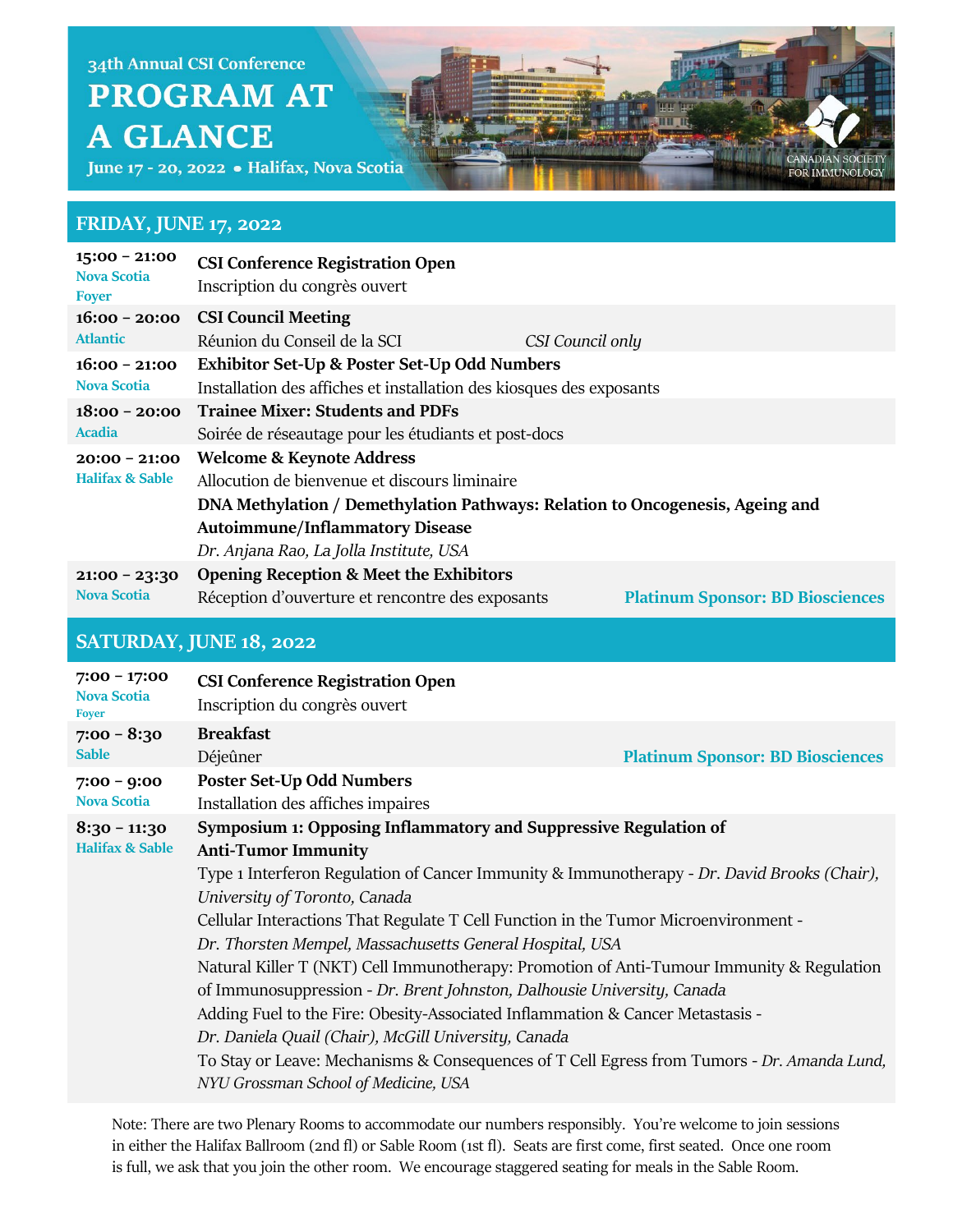June 17 - 20, 2022 · Halifax, Nova Scotia

#### **FRIDAY, JUNE 17, 2022**

| $15:00 - 21:00$<br><b>Nova Scotia</b><br><b>Foyer</b> | <b>CSI Conference Registration Open</b><br>Inscription du congrès ouvert      |                                         |  |
|-------------------------------------------------------|-------------------------------------------------------------------------------|-----------------------------------------|--|
| $16:00 - 20:00$                                       | <b>CSI Council Meeting</b>                                                    |                                         |  |
| <b>Atlantic</b>                                       | Réunion du Conseil de la SCI                                                  | CSI Council only                        |  |
| $16:00 - 21:00$                                       | <b>Exhibitor Set-Up &amp; Poster Set-Up Odd Numbers</b>                       |                                         |  |
| <b>Nova Scotia</b>                                    | Installation des affiches et installation des kiosques des exposants          |                                         |  |
| $18:00 - 20:00$<br><b>Acadia</b>                      | <b>Trainee Mixer: Students and PDFs</b>                                       |                                         |  |
|                                                       | Soirée de réseautage pour les étudiants et post-docs                          |                                         |  |
| $20:00 - 21:00$<br><b>Halifax &amp; Sable</b>         | <b>Welcome &amp; Keynote Address</b>                                          |                                         |  |
|                                                       | Allocution de bienvenue et discours liminaire                                 |                                         |  |
|                                                       | DNA Methylation / Demethylation Pathways: Relation to Oncogenesis, Ageing and |                                         |  |
|                                                       | <b>Autoimmune/Inflammatory Disease</b>                                        |                                         |  |
|                                                       | Dr. Anjana Rao, La Jolla Institute, USA                                       |                                         |  |
| $21:00 - 23:30$<br><b>Nova Scotia</b>                 | <b>Opening Reception &amp; Meet the Exhibitors</b>                            |                                         |  |
|                                                       | Réception d'ouverture et rencontre des exposants                              | <b>Platinum Sponsor: BD Biosciences</b> |  |

CANADIAN SOCIETY

FOR IMMUNOLOGY

### **SATURDAY, JUNE 18, 2022**

| $7:00 - 17:00$<br><b>Nova Scotia</b><br><b>Foyer</b> | <b>CSI Conference Registration Open</b><br>Inscription du congrès ouvert                    |                                         |
|------------------------------------------------------|---------------------------------------------------------------------------------------------|-----------------------------------------|
| $7:00 - 8:30$                                        | <b>Breakfast</b>                                                                            |                                         |
| <b>Sable</b>                                         | Déjeûner                                                                                    | <b>Platinum Sponsor: BD Biosciences</b> |
| $7:00 - 9:00$<br><b>Nova Scotia</b>                  | <b>Poster Set-Up Odd Numbers</b>                                                            |                                         |
|                                                      | Installation des affiches impaires                                                          |                                         |
| $8:30 - 11:30$                                       | Symposium 1: Opposing Inflammatory and Suppressive Regulation of                            |                                         |
| <b>Halifax &amp; Sable</b>                           | <b>Anti-Tumor Immunity</b>                                                                  |                                         |
|                                                      | Type 1 Interferon Regulation of Cancer Immunity & Immunotherapy - Dr. David Brooks (Chair), |                                         |
|                                                      | University of Toronto, Canada                                                               |                                         |
|                                                      | Cellular Interactions That Regulate T Cell Function in the Tumor Microenvironment -         |                                         |
|                                                      | Dr. Thorsten Mempel, Massachusetts General Hospital, USA                                    |                                         |
|                                                      | Natural Killer T (NKT) Cell Immunotherapy: Promotion of Anti-Tumour Immunity & Regulation   |                                         |
|                                                      | of Immunosuppression - Dr. Brent Johnston, Dalhousie University, Canada                     |                                         |
|                                                      | Adding Fuel to the Fire: Obesity-Associated Inflammation & Cancer Metastasis -              |                                         |
|                                                      | Dr. Daniela Quail (Chair), McGill University, Canada                                        |                                         |
|                                                      | To Stay or Leave: Mechanisms & Consequences of T Cell Egress from Tumors - Dr. Amanda Lund, |                                         |
|                                                      | NYU Grossman School of Medicine, USA                                                        |                                         |
|                                                      |                                                                                             |                                         |

Note: There are two Plenary Rooms to accommodate our numbers responsibly. You're welcome to join sessions in either the Halifax Ballroom (2nd fl) or Sable Room (1st fl). Seats are first come, first seated. Once one room is full, we ask that you join the other room. We encourage staggered seating for meals in the Sable Room.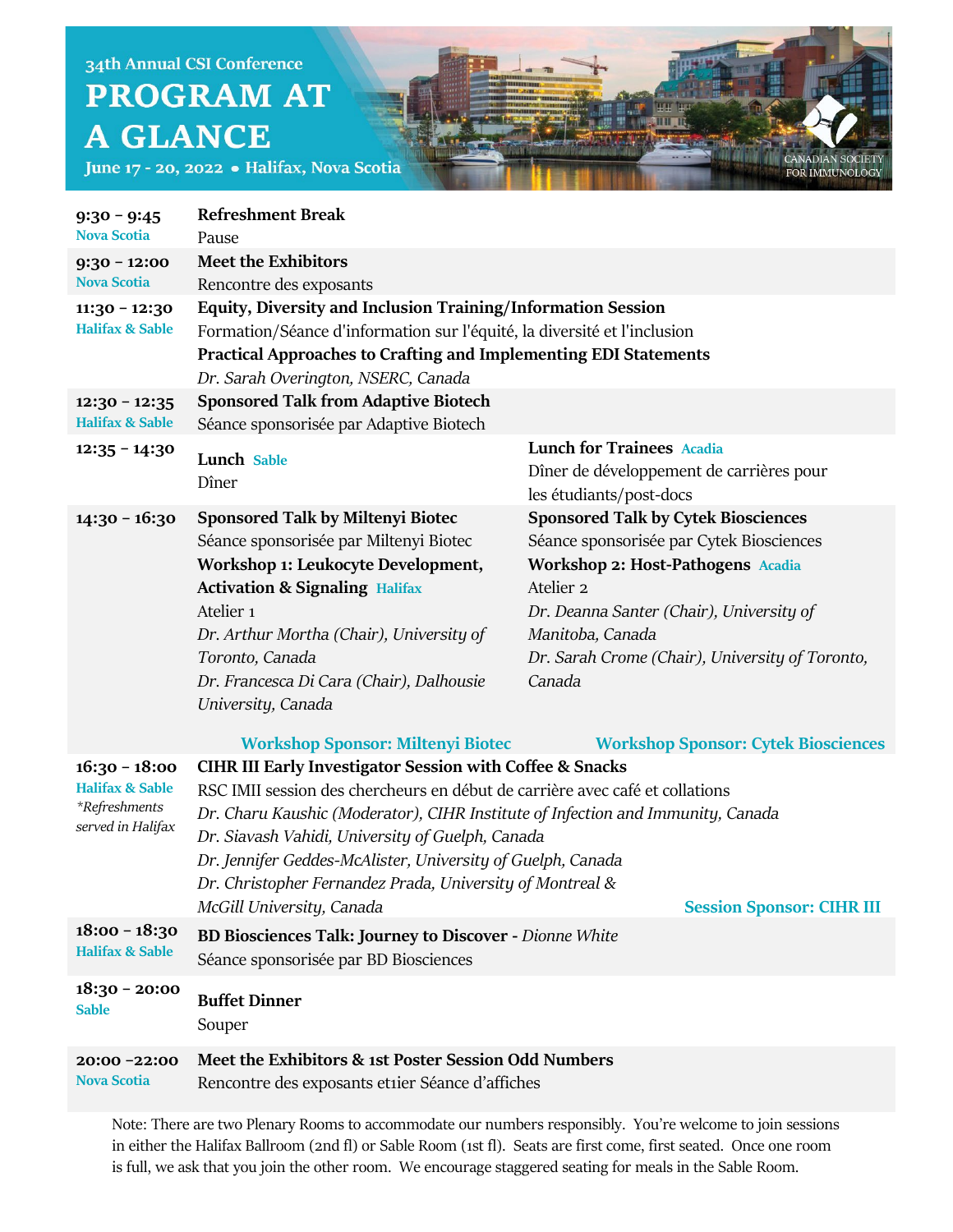June 17 - 20, 2022 · Halifax, Nova Scotia

| $9:30 - 9:45$<br><b>Nova Scotia</b>                                                 | <b>Refreshment Break</b><br>Pause                                                                                                                                                                                                                                                                                                                                                                                                                                                       |                                                                                                                                                                                                                                                                                         |
|-------------------------------------------------------------------------------------|-----------------------------------------------------------------------------------------------------------------------------------------------------------------------------------------------------------------------------------------------------------------------------------------------------------------------------------------------------------------------------------------------------------------------------------------------------------------------------------------|-----------------------------------------------------------------------------------------------------------------------------------------------------------------------------------------------------------------------------------------------------------------------------------------|
| $9:30 - 12:00$<br><b>Nova Scotia</b>                                                | <b>Meet the Exhibitors</b><br>Rencontre des exposants                                                                                                                                                                                                                                                                                                                                                                                                                                   |                                                                                                                                                                                                                                                                                         |
| $11:30 - 12:30$<br><b>Halifax &amp; Sable</b>                                       | Equity, Diversity and Inclusion Training/Information Session<br>Formation/Séance d'information sur l'équité, la diversité et l'inclusion<br><b>Practical Approaches to Crafting and Implementing EDI Statements</b><br>Dr. Sarah Overington, NSERC, Canada                                                                                                                                                                                                                              |                                                                                                                                                                                                                                                                                         |
| $12:30 - 12:35$<br><b>Halifax &amp; Sable</b>                                       | <b>Sponsored Talk from Adaptive Biotech</b><br>Séance sponsorisée par Adaptive Biotech                                                                                                                                                                                                                                                                                                                                                                                                  |                                                                                                                                                                                                                                                                                         |
| $12:35 - 14:30$                                                                     | Lunch Sable<br>Dîner                                                                                                                                                                                                                                                                                                                                                                                                                                                                    | <b>Lunch for Trainees Acadia</b><br>Dîner de développement de carrières pour<br>les étudiants/post-docs                                                                                                                                                                                 |
| $14:30 - 16:30$                                                                     | <b>Sponsored Talk by Miltenyi Biotec</b><br>Séance sponsorisée par Miltenyi Biotec<br>Workshop 1: Leukocyte Development,<br><b>Activation &amp; Signaling Halifax</b><br>Atelier <sub>1</sub><br>Dr. Arthur Mortha (Chair), University of<br>Toronto, Canada<br>Dr. Francesca Di Cara (Chair), Dalhousie<br>University, Canada                                                                                                                                                          | <b>Sponsored Talk by Cytek Biosciences</b><br>Séance sponsorisée par Cytek Biosciences<br><b>Workshop 2: Host-Pathogens Acadia</b><br>Atelier <sub>2</sub><br>Dr. Deanna Santer (Chair), University of<br>Manitoba, Canada<br>Dr. Sarah Crome (Chair), University of Toronto,<br>Canada |
|                                                                                     | <b>Workshop Sponsor: Miltenyi Biotec</b>                                                                                                                                                                                                                                                                                                                                                                                                                                                | <b>Workshop Sponsor: Cytek Biosciences</b>                                                                                                                                                                                                                                              |
| $16:30 - 18:00$<br><b>Halifax &amp; Sable</b><br>*Refreshments<br>served in Halifax | <b>CIHR III Early Investigator Session with Coffee &amp; Snacks</b><br>RSC IMII session des chercheurs en début de carrière avec café et collations<br>Dr. Charu Kaushic (Moderator), CIHR Institute of Infection and Immunity, Canada<br>Dr. Siavash Vahidi, University of Guelph, Canada<br>Dr. Jennifer Geddes-McAlister, University of Guelph, Canada<br>Dr. Christopher Fernandez Prada, University of Montreal &<br>McGill University, Canada<br><b>Session Sponsor: CIHR III</b> |                                                                                                                                                                                                                                                                                         |
| $18:00 - 18:30$<br><b>Halifax &amp; Sable</b>                                       | <b>BD Biosciences Talk: Journey to Discover - Dionne White</b><br>Séance sponsorisée par BD Biosciences                                                                                                                                                                                                                                                                                                                                                                                 |                                                                                                                                                                                                                                                                                         |
| $18:30 - 20:00$<br><b>Sable</b>                                                     | <b>Buffet Dinner</b><br>Souper                                                                                                                                                                                                                                                                                                                                                                                                                                                          |                                                                                                                                                                                                                                                                                         |
| 20:00 -22:00<br><b>Nova Scotia</b>                                                  | Meet the Exhibitors & 1st Poster Session Odd Numbers<br>Rencontre des exposants etnier Séance d'affiches                                                                                                                                                                                                                                                                                                                                                                                |                                                                                                                                                                                                                                                                                         |

CANADIAN SOCIETY<br>FOR IMMUNOLOGY

Note: There are two Plenary Rooms to accommodate our numbers responsibly. You're welcome to join sessions in either the Halifax Ballroom (2nd fl) or Sable Room (1st fl). Seats are first come, first seated. Once one room is full, we ask that you join the other room. We encourage staggered seating for meals in the Sable Room.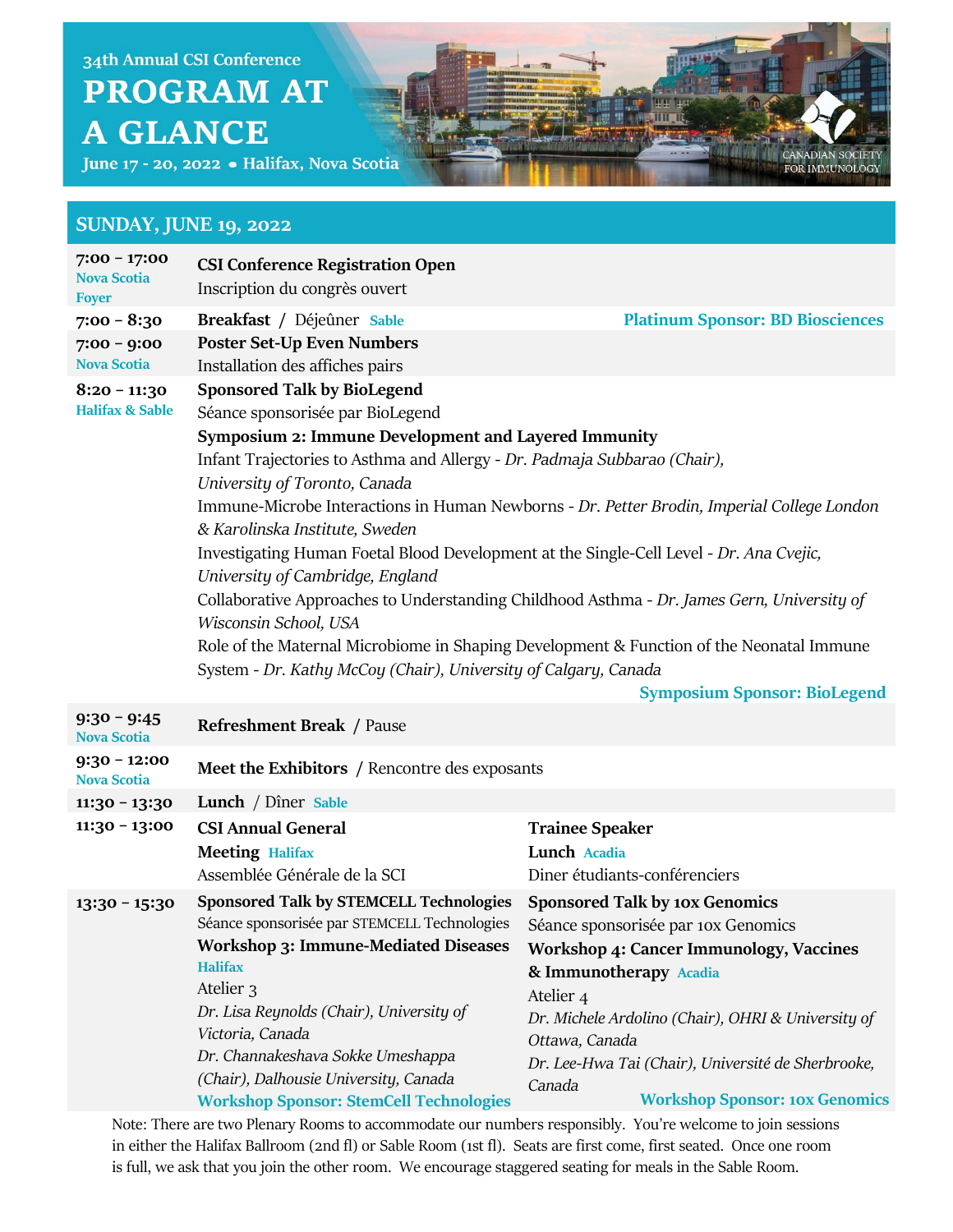

June 17 - 20, 2022 · Halifax, Nova Scotia

#### **SUNDAY, JUNE 19, 2022**

| $7:00 - 17:00$<br><b>Nova Scotia</b><br><b>Foyer</b> | <b>CSI Conference Registration Open</b><br>Inscription du congrès ouvert                                                                                                                                                                                                                                                                                                                                                                                                                                                                                                                                                                                                                                                                                                                                                                 |                                                                                                                                                                                                                                                                                                                                                                   |
|------------------------------------------------------|------------------------------------------------------------------------------------------------------------------------------------------------------------------------------------------------------------------------------------------------------------------------------------------------------------------------------------------------------------------------------------------------------------------------------------------------------------------------------------------------------------------------------------------------------------------------------------------------------------------------------------------------------------------------------------------------------------------------------------------------------------------------------------------------------------------------------------------|-------------------------------------------------------------------------------------------------------------------------------------------------------------------------------------------------------------------------------------------------------------------------------------------------------------------------------------------------------------------|
| $7:00 - 8:30$<br>$7:00 - 9:00$<br><b>Nova Scotia</b> | Breakfast / Déjeûner Sable<br><b>Poster Set-Up Even Numbers</b><br>Installation des affiches pairs                                                                                                                                                                                                                                                                                                                                                                                                                                                                                                                                                                                                                                                                                                                                       | <b>Platinum Sponsor: BD Biosciences</b>                                                                                                                                                                                                                                                                                                                           |
| $8:20 - 11:30$<br><b>Halifax &amp; Sable</b>         | <b>Sponsored Talk by BioLegend</b><br>Séance sponsorisée par BioLegend<br>Symposium 2: Immune Development and Layered Immunity<br>Infant Trajectories to Asthma and Allergy - Dr. Padmaja Subbarao (Chair),<br>University of Toronto, Canada<br>Immune-Microbe Interactions in Human Newborns - Dr. Petter Brodin, Imperial College London<br>& Karolinska Institute, Sweden<br>Investigating Human Foetal Blood Development at the Single-Cell Level - Dr. Ana Cvejic,<br>University of Cambridge, England<br>Collaborative Approaches to Understanding Childhood Asthma - Dr. James Gern, University of<br>Wisconsin School, USA<br>Role of the Maternal Microbiome in Shaping Development & Function of the Neonatal Immune<br>System - Dr. Kathy McCoy (Chair), University of Calgary, Canada<br><b>Symposium Sponsor: BioLegend</b> |                                                                                                                                                                                                                                                                                                                                                                   |
| $9:30 - 9:45$<br><b>Nova Scotia</b>                  | <b>Refreshment Break / Pause</b>                                                                                                                                                                                                                                                                                                                                                                                                                                                                                                                                                                                                                                                                                                                                                                                                         |                                                                                                                                                                                                                                                                                                                                                                   |
| $9:30 - 12:00$<br><b>Nova Scotia</b>                 | Meet the Exhibitors / Rencontre des exposants                                                                                                                                                                                                                                                                                                                                                                                                                                                                                                                                                                                                                                                                                                                                                                                            |                                                                                                                                                                                                                                                                                                                                                                   |
| $11:30 - 13:30$                                      | Lunch / Dîner Sable                                                                                                                                                                                                                                                                                                                                                                                                                                                                                                                                                                                                                                                                                                                                                                                                                      |                                                                                                                                                                                                                                                                                                                                                                   |
| $11:30 - 13:00$                                      | <b>CSI Annual General</b><br><b>Meeting Halifax</b><br>Assemblée Générale de la SCI                                                                                                                                                                                                                                                                                                                                                                                                                                                                                                                                                                                                                                                                                                                                                      | <b>Trainee Speaker</b><br>Lunch Acadia<br>Diner étudiants-conférenciers                                                                                                                                                                                                                                                                                           |
| $13:30 - 15:30$                                      | <b>Sponsored Talk by STEMCELL Technologies</b><br>Séance sponsorisée par STEMCELL Technologies<br><b>Workshop 3: Immune-Mediated Diseases</b><br><b>Halifax</b><br>Atelier <sub>3</sub><br>Dr. Lisa Reynolds (Chair), University of<br>Victoria, Canada<br>Dr. Channakeshava Sokke Umeshappa<br>(Chair), Dalhousie University, Canada<br><b>Workshop Sponsor: StemCell Technologies</b>                                                                                                                                                                                                                                                                                                                                                                                                                                                  | <b>Sponsored Talk by 10x Genomics</b><br>Séance sponsorisée par 10x Genomics<br><b>Workshop 4: Cancer Immunology, Vaccines</b><br>& Immunotherapy Acadia<br>Atelier <sub>4</sub><br>Dr. Michele Ardolino (Chair), OHRI & University of<br>Ottawa, Canada<br>Dr. Lee-Hwa Tai (Chair), Université de Sherbrooke,<br>Canada<br><b>Workshop Sponsor: 10x Genomics</b> |

Note: There are two Plenary Rooms to accommodate our numbers responsibly. You're welcome to join sessions in either the Halifax Ballroom (2nd fl) or Sable Room (1st fl). Seats are first come, first seated. Once one room is full, we ask that you join the other room. We encourage staggered seating for meals in the Sable Room.